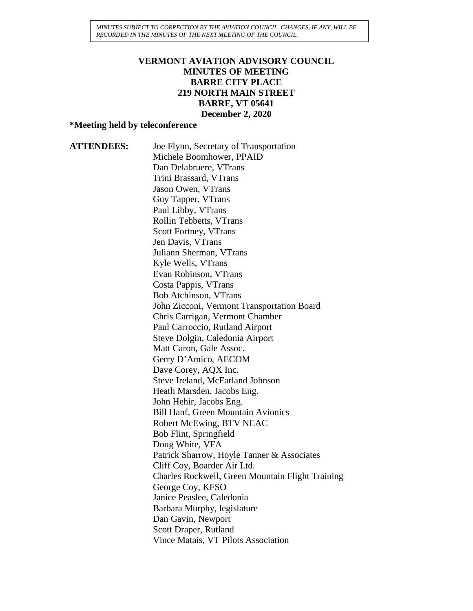*MINUTES SUBJECT TO CORRECTION BY THE AVIATION COUNCIL. CHANGES, IF ANY, WILL BE RECORDED IN THE MINUTES OF THE NEXT MEETING OF THE COUNCIL.*

#### **VERMONT AVIATION ADVISORY COUNCIL MINUTES OF MEETING BARRE CITY PLACE 219 NORTH MAIN STREET BARRE, VT 05641 December 2, 2020**

#### **\*Meeting held by teleconference**

**ATTENDEES:** Joe Flynn, Secretary of Transportation Michele Boomhower, PPAID Dan Delabruere, VTrans Trini Brassard, VTrans Jason Owen, VTrans Guy Tapper, VTrans Paul Libby, VTrans Rollin Tebbetts, VTrans Scott Fortney, VTrans Jen Davis, VTrans Juliann Sherman, VTrans Kyle Wells, VTrans Evan Robinson, VTrans Costa Pappis, VTrans Bob Atchinson, VTrans John Zicconi, Vermont Transportation Board Chris Carrigan, Vermont Chamber Paul Carroccio, Rutland Airport Steve Dolgin, Caledonia Airport Matt Caron, Gale Assoc. Gerry D'Amico, AECOM Dave Corey, AQX Inc. Steve Ireland, McFarland Johnson Heath Marsden, Jacobs Eng. John Hehir, Jacobs Eng. Bill Hanf, Green Mountain Avionics Robert McEwing, BTV NEAC Bob Flint, Springfield Doug White, VFA Patrick Sharrow, Hoyle Tanner & Associates Cliff Coy, Boarder Air Ltd. Charles Rockwell, Green Mountain Flight Training George Coy, KFSO Janice Peaslee, Caledonia Barbara Murphy, legislature Dan Gavin, Newport Scott Draper, Rutland Vince Matais, VT Pilots Association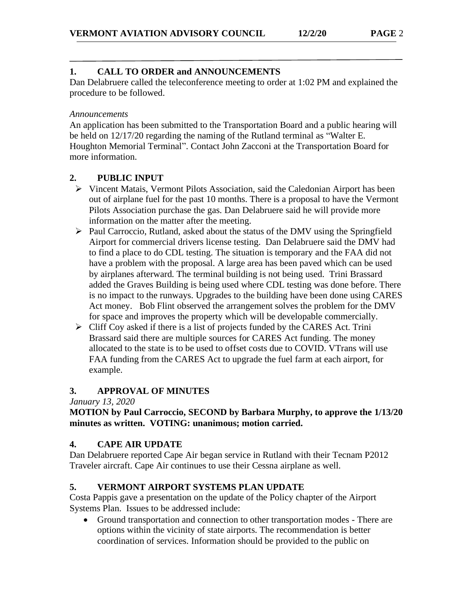## **1. CALL TO ORDER and ANNOUNCEMENTS**

Dan Delabruere called the teleconference meeting to order at 1:02 PM and explained the procedure to be followed.

#### *Announcements*

An application has been submitted to the Transportation Board and a public hearing will be held on 12/17/20 regarding the naming of the Rutland terminal as "Walter E. Houghton Memorial Terminal". Contact John Zacconi at the Transportation Board for more information.

## **2. PUBLIC INPUT**

- ➢ Vincent Matais, Vermont Pilots Association, said the Caledonian Airport has been out of airplane fuel for the past 10 months. There is a proposal to have the Vermont Pilots Association purchase the gas. Dan Delabruere said he will provide more information on the matter after the meeting.
- $\triangleright$  Paul Carroccio, Rutland, asked about the status of the DMV using the Springfield Airport for commercial drivers license testing. Dan Delabruere said the DMV had to find a place to do CDL testing. The situation is temporary and the FAA did not have a problem with the proposal. A large area has been paved which can be used by airplanes afterward. The terminal building is not being used. Trini Brassard added the Graves Building is being used where CDL testing was done before. There is no impact to the runways. Upgrades to the building have been done using CARES Act money. Bob Flint observed the arrangement solves the problem for the DMV for space and improves the property which will be developable commercially.
- ➢ Cliff Coy asked if there is a list of projects funded by the CARES Act. Trini Brassard said there are multiple sources for CARES Act funding. The money allocated to the state is to be used to offset costs due to COVID. VTrans will use FAA funding from the CARES Act to upgrade the fuel farm at each airport, for example.

### **3. APPROVAL OF MINUTES**

*January 13, 2020*

**MOTION by Paul Carroccio, SECOND by Barbara Murphy, to approve the 1/13/20 minutes as written. VOTING: unanimous; motion carried.**

### **4. CAPE AIR UPDATE**

Dan Delabruere reported Cape Air began service in Rutland with their Tecnam P2012 Traveler aircraft. Cape Air continues to use their Cessna airplane as well.

### **5. VERMONT AIRPORT SYSTEMS PLAN UPDATE**

Costa Pappis gave a presentation on the update of the Policy chapter of the Airport Systems Plan. Issues to be addressed include:

• Ground transportation and connection to other transportation modes - There are options within the vicinity of state airports. The recommendation is better coordination of services. Information should be provided to the public on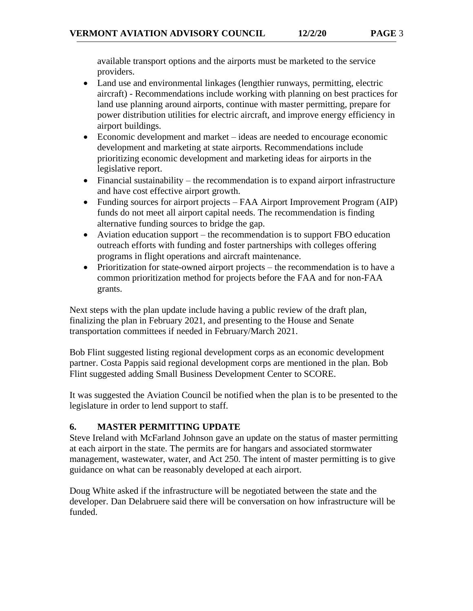available transport options and the airports must be marketed to the service providers.

- Land use and environmental linkages (lengthier runways, permitting, electric aircraft) - Recommendations include working with planning on best practices for land use planning around airports, continue with master permitting, prepare for power distribution utilities for electric aircraft, and improve energy efficiency in airport buildings.
- Economic development and market ideas are needed to encourage economic development and marketing at state airports. Recommendations include prioritizing economic development and marketing ideas for airports in the legislative report.
- Financial sustainability the recommendation is to expand airport infrastructure and have cost effective airport growth.
- Funding sources for airport projects FAA Airport Improvement Program (AIP) funds do not meet all airport capital needs. The recommendation is finding alternative funding sources to bridge the gap.
- Aviation education support the recommendation is to support FBO education outreach efforts with funding and foster partnerships with colleges offering programs in flight operations and aircraft maintenance.
- Prioritization for state-owned airport projects the recommendation is to have a common prioritization method for projects before the FAA and for non-FAA grants.

Next steps with the plan update include having a public review of the draft plan, finalizing the plan in February 2021, and presenting to the House and Senate transportation committees if needed in February/March 2021.

Bob Flint suggested listing regional development corps as an economic development partner. Costa Pappis said regional development corps are mentioned in the plan. Bob Flint suggested adding Small Business Development Center to SCORE.

It was suggested the Aviation Council be notified when the plan is to be presented to the legislature in order to lend support to staff.

# **6. MASTER PERMITTING UPDATE**

Steve Ireland with McFarland Johnson gave an update on the status of master permitting at each airport in the state. The permits are for hangars and associated stormwater management, wastewater, water, and Act 250. The intent of master permitting is to give guidance on what can be reasonably developed at each airport.

Doug White asked if the infrastructure will be negotiated between the state and the developer. Dan Delabruere said there will be conversation on how infrastructure will be funded.